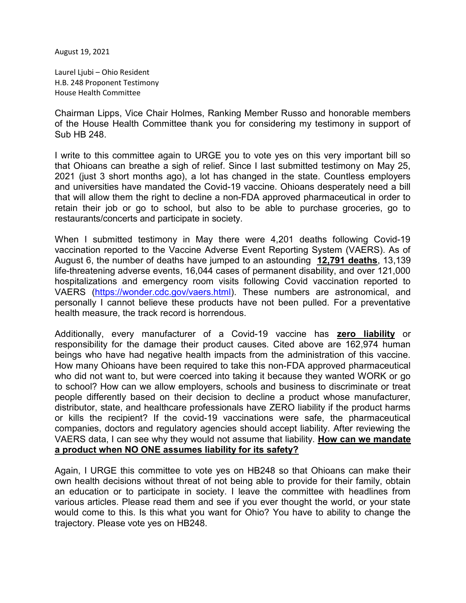August 19, 2021

Laurel Ljubi – Ohio Resident H.B. 248 Proponent Testimony House Health Committee

Chairman Lipps, Vice Chair Holmes, Ranking Member Russo and honorable members of the House Health Committee thank you for considering my testimony in support of Sub HB 248.

I write to this committee again to URGE you to vote yes on this very important bill so that Ohioans can breathe a sigh of relief. Since I last submitted testimony on May 25, 2021 (just 3 short months ago), a lot has changed in the state. Countless employers and universities have mandated the Covid-19 vaccine. Ohioans desperately need a bill that will allow them the right to decline a non-FDA approved pharmaceutical in order to retain their job or go to school, but also to be able to purchase groceries, go to restaurants/concerts and participate in society.

When I submitted testimony in May there were 4,201 deaths following Covid-19 vaccination reported to the Vaccine Adverse Event Reporting System (VAERS). As of August 6, the number of deaths have jumped to an astounding 12,791 deaths, 13,139 life-threatening adverse events, 16,044 cases of permanent disability, and over 121,000 hospitalizations and emergency room visits following Covid vaccination reported to VAERS (https://wonder.cdc.gov/vaers.html). These numbers are astronomical, and personally I cannot believe these products have not been pulled. For a preventative health measure, the track record is horrendous.

Additionally, every manufacturer of a Covid-19 vaccine has zero liability or responsibility for the damage their product causes. Cited above are 162,974 human beings who have had negative health impacts from the administration of this vaccine. How many Ohioans have been required to take this non-FDA approved pharmaceutical who did not want to, but were coerced into taking it because they wanted WORK or go to school? How can we allow employers, schools and business to discriminate or treat people differently based on their decision to decline a product whose manufacturer, distributor, state, and healthcare professionals have ZERO liability if the product harms or kills the recipient? If the covid-19 vaccinations were safe, the pharmaceutical companies, doctors and regulatory agencies should accept liability. After reviewing the VAERS data, I can see why they would not assume that liability. How can we mandate a product when NO ONE assumes liability for its safety?

Again, I URGE this committee to vote yes on HB248 so that Ohioans can make their own health decisions without threat of not being able to provide for their family, obtain an education or to participate in society. I leave the committee with headlines from various articles. Please read them and see if you ever thought the world, or your state would come to this. Is this what you want for Ohio? You have to ability to change the trajectory. Please vote yes on HB248.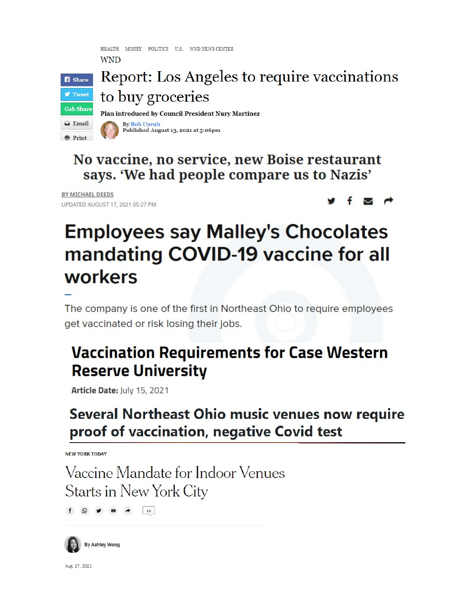HEALTH MONEY POLITICS U.S. WND NEWS CENTER **WND** 



Report: Los Angeles to require vaccinations to buy groceries

Plan introduced by Council President Nury Martinez



No vaccine, no service, new Boise restaurant says. 'We had people compare us to Nazis'

BY MICHAEL DEEDS UPDATED AUGUST 17, 2021 05:27 PM



# **Employees say Malley's Chocolates** mandating COVID-19 vaccine for all workers

The company is one of the first in Northeast Ohio to require employees get vaccinated or risk losing their jobs.

## **Vaccination Requirements for Case Western Reserve University**

Article Date: July 15, 2021

## **Several Northeast Ohio music venues now require** proof of vaccination, negative Covid test

**NEW YORK TODAY** 

Vaccine Mandate for Indoor Venues Starts in New York City

 $f$   $\odot$   $\bullet$   $\bullet$   $\boxed{19}$